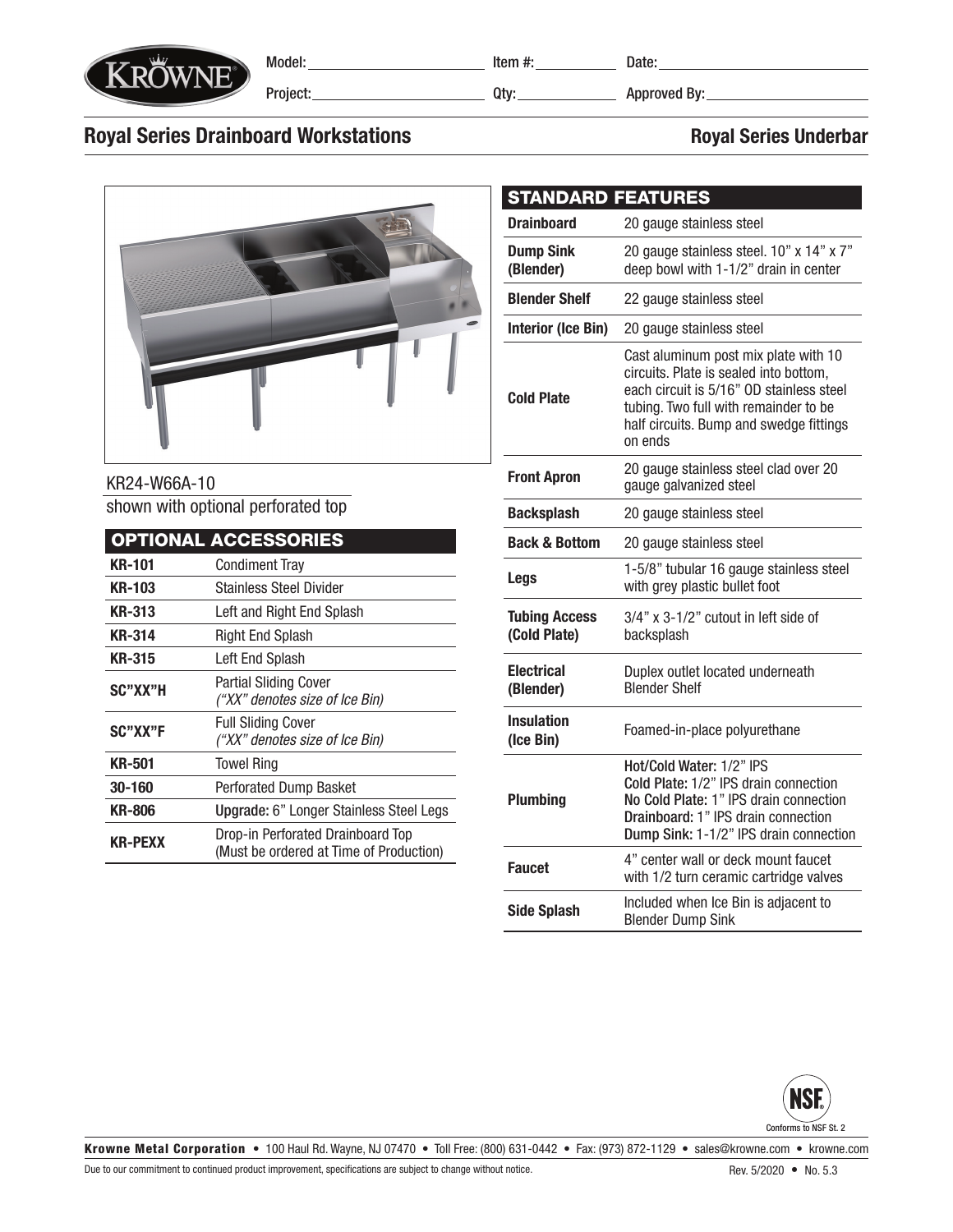

Model: Project: Item #:

Qty:

Date:

Approved By:

## Royal Series Drainboard Workstations **Royal Series Underbar** Royal Series Underbar

### KR24-W66A-10 shown with optional perforated top

|                | <b>OPTIONAL ACCESSORIES</b>                                                  |  |  |  |  |  |
|----------------|------------------------------------------------------------------------------|--|--|--|--|--|
| <b>KR-101</b>  | <b>Condiment Tray</b>                                                        |  |  |  |  |  |
| <b>KR-103</b>  | <b>Stainless Steel Divider</b>                                               |  |  |  |  |  |
| <b>KR-313</b>  | Left and Right End Splash                                                    |  |  |  |  |  |
| KR-314         | Right End Splash                                                             |  |  |  |  |  |
| KR-315         | Left End Splash                                                              |  |  |  |  |  |
| SC"XX"H        | <b>Partial Sliding Cover</b><br>("XX" denotes size of Ice Bin)               |  |  |  |  |  |
| SC"XX"F        | <b>Full Sliding Cover</b><br>("XX" denotes size of Ice Bin)                  |  |  |  |  |  |
| <b>KR-501</b>  | <b>Towel Ring</b>                                                            |  |  |  |  |  |
| 30-160         | <b>Perforated Dump Basket</b>                                                |  |  |  |  |  |
| <b>KR-806</b>  | Upgrade: 6" Longer Stainless Steel Legs                                      |  |  |  |  |  |
| <b>KR-PEXX</b> | Drop-in Perforated Drainboard Top<br>(Must be ordered at Time of Production) |  |  |  |  |  |

#### **Drainboard** 20 gauge stainless steel Dump Sink (Blender) 20 gauge stainless steel. 10" x 14" x 7" deep bowl with 1-1/2" drain in center **Blender Shelf** 22 gauge stainless steel Interior (Ice Bin) 20 gauge stainless steel Cold Plate Cast aluminum post mix plate with 10 circuits. Plate is sealed into bottom, each circuit is 5/16" OD stainless steel tubing. Two full with remainder to be half circuits. Bump and swedge fittings on ends Front Apron 20 gauge stainless steel clad over 20 gauge galvanized steel Backsplash 20 gauge stainless steel **Back & Bottom** 20 gauge stainless steel Legs 1-5/8" tubular 16 gauge stainless steel with grey plastic bullet foot Tubing Access (Cold Plate) 3/4" x 3-1/2" cutout in left side of backsplash **Electrical** (Blender) Duplex outlet located underneath Blender Shelf Insulation (Ice Bin) Foamed-in-place polyurethane Hot/Cold Water: 1/2" IPS STANDARD FEATURES





Krowne Metal Corporation • 100 Haul Rd. Wayne, NJ 07470 • Toll Free: (800) 631-0442 • Fax: (973) 872-1129 • sales@krowne.com • krowne.com